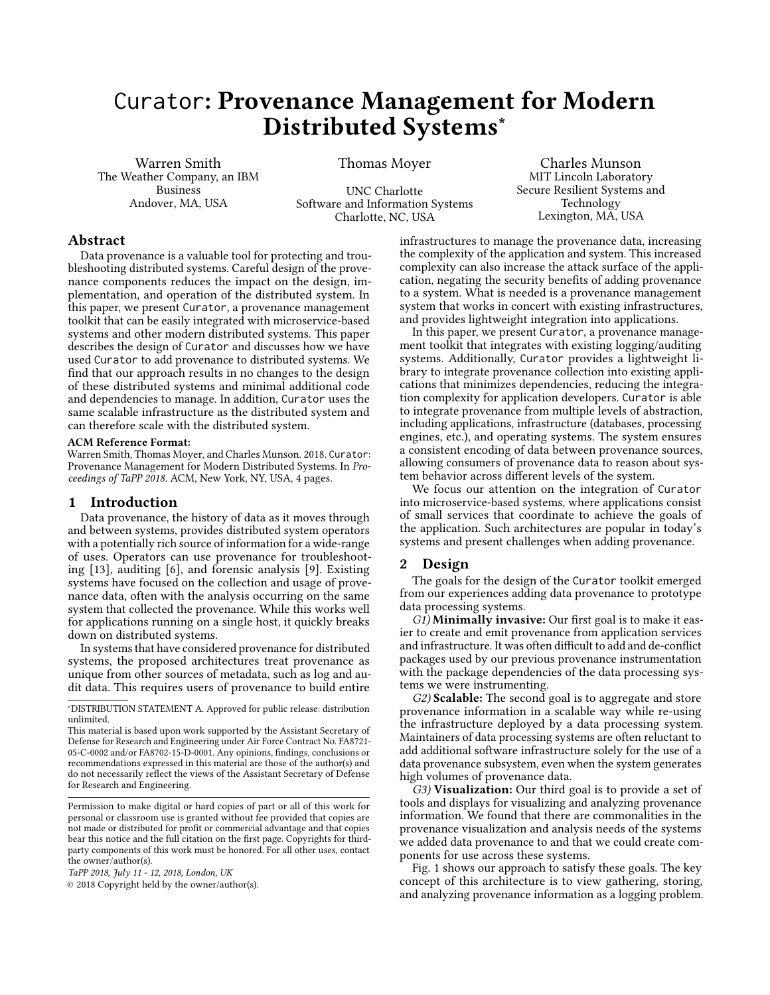# <span id="page-0-0"></span>Curator: Provenance Management for Modern Distributed Systems<sup>∗</sup>

Warren Smith The Weather Company, an IBM Business Andover, MA, USA

Thomas Moyer

UNC Charlotte Software and Information Systems Charlotte, NC, USA

Charles Munson MIT Lincoln Laboratory Secure Resilient Systems and Technology Lexington, MA, USA

# Abstract

Data provenance is a valuable tool for protecting and troubleshooting distributed systems. Careful design of the provenance components reduces the impact on the design, implementation, and operation of the distributed system. In this paper, we present Curator, a provenance management toolkit that can be easily integrated with microservice-based systems and other modern distributed systems. This paper describes the design of Curator and discusses how we have used Curator to add provenance to distributed systems. We find that our approach results in no changes to the design of these distributed systems and minimal additional code and dependencies to manage. In addition, Curator uses the same scalable infrastructure as the distributed system and can therefore scale with the distributed system.

#### ACM Reference Format:

Warren Smith, Thomas Moyer, and Charles Munson. 2018. Curator: Provenance Management for Modern Distributed Systems. In Proceedings of TaPP 2018. ACM, New York, NY, USA, [4](#page-3-0) pages.

## 1 Introduction

Data provenance, the history of data as it moves through and between systems, provides distributed system operators with a potentially rich source of information for a wide-range of uses. Operators can use provenance for troubleshooting [\[13\]](#page-3-1), auditing [\[6\]](#page-3-2), and forensic analysis [\[9\]](#page-3-3). Existing systems have focused on the collection and usage of provenance data, often with the analysis occurring on the same system that collected the provenance. While this works well for applications running on a single host, it quickly breaks down on distributed systems.

In systems that have considered provenance for distributed systems, the proposed architectures treat provenance as unique from other sources of metadata, such as log and audit data. This requires users of provenance to build entire

© 2018 Copyright held by the owner/author(s).

infrastructures to manage the provenance data, increasing the complexity of the application and system. This increased complexity can also increase the attack surface of the application, negating the security benefits of adding provenance to a system. What is needed is a provenance management system that works in concert with existing infrastructures, and provides lightweight integration into applications.

In this paper, we present Curator, a provenance management toolkit that integrates with existing logging/auditing systems. Additionally, Curator provides a lightweight library to integrate provenance collection into existing applications that minimizes dependencies, reducing the integration complexity for application developers. Curator is able to integrate provenance from multiple levels of abstraction, including applications, infrastructure (databases, processing engines, etc.), and operating systems. The system ensures a consistent encoding of data between provenance sources, allowing consumers of provenance data to reason about system behavior across different levels of the system.

We focus our attention on the integration of Curator into microservice-based systems, where applications consist of small services that coordinate to achieve the goals of the application. Such architectures are popular in today's systems and present challenges when adding provenance.

# 2 Design

The goals for the design of the Curator toolkit emerged from our experiences adding data provenance to prototype data processing systems.

 $G_1$ ) Minimally invasive: Our first goal is to make it easier to create and emit provenance from application services and infrastructure. It was often difficult to add and de-conflict packages used by our previous provenance instrumentation with the package dependencies of the data processing systems we were instrumenting.

G2) Scalable: The second goal is to aggregate and store provenance information in a scalable way while re-using the infrastructure deployed by a data processing system. Maintainers of data processing systems are often reluctant to add additional software infrastructure solely for the use of a data provenance subsystem, even when the system generates high volumes of provenance data.

 $G3$ ) Visualization: Our third goal is to provide a set of tools and displays for visualizing and analyzing provenance information. We found that there are commonalities in the provenance visualization and analysis needs of the systems we added data provenance to and that we could create components for use across these systems.

Fig. [1](#page-1-0) shows our approach to satisfy these goals. The key concept of this architecture is to view gathering, storing, and analyzing provenance information as a logging problem.

<sup>∗</sup>DISTRIBUTION STATEMENT A. Approved for public release: distribution unlimited.

This material is based upon work supported by the Assistant Secretary of Defense for Research and Engineering under Air Force Contract No. FA8721- 05-C-0002 and/or FA8702-15-D-0001. Any opinions, findings, conclusions or recommendations expressed in this material are those of the author(s) and do not necessarily reflect the views of the Assistant Secretary of Defense for Research and Engineering.

Permission to make digital or hard copies of part or all of this work for personal or classroom use is granted without fee provided that copies are not made or distributed for profit or commercial advantage and that copies bear this notice and the full citation on the first page. Copyrights for thirdparty components of this work must be honored. For all other uses, contact the owner/author(s).

TaPP 2018, July 11 - 12, 2018, London, UK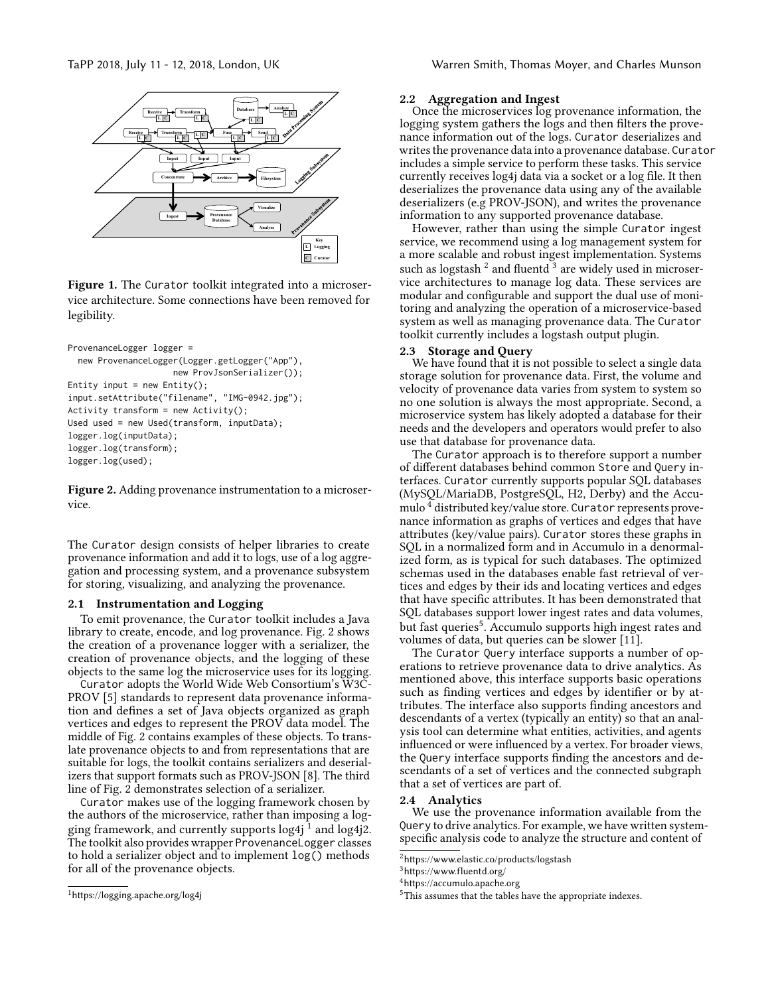<span id="page-1-0"></span>

Figure 1. The Curator toolkit integrated into a microservice architecture. Some connections have been removed for legibility.

```
ProvenanceLogger logger =
 new ProvenanceLogger(Logger.getLogger("App"),
                     new ProvJsonSerializer());
Entity input = new Entity();
input.setAttribute("filename", "IMG-0942.jpg");
Activity transform = new Activity();
Used used = new Used(transform, inputData);
logger.log(inputData);
logger.log(transform);
logger.log(used);
```
Figure 2. Adding provenance instrumentation to a microservice.

The Curator design consists of helper libraries to create provenance information and add it to logs, use of a log aggregation and processing system, and a provenance subsystem for storing, visualizing, and analyzing the provenance.

# 2.1 Instrumentation and Logging

To emit provenance, the Curator toolkit includes a Java library to create, encode, and log provenance. Fig. [2](#page-1-1) shows the creation of a provenance logger with a serializer, the creation of provenance objects, and the logging of these objects to the same log the microservice uses for its logging.

Curator adopts the World Wide Web Consortium's W3C-PROV [\[5\]](#page-3-4) standards to represent data provenance information and defines a set of Java objects organized as graph vertices and edges to represent the PROV data model. The middle of Fig. [2](#page-1-1) contains examples of these objects. To translate provenance objects to and from representations that are suitable for logs, the toolkit contains serializers and deserializers that support formats such as PROV-JSON [\[8\]](#page-3-5). The third line of Fig. [2](#page-1-1) demonstrates selection of a serializer.

Curator makes use of the logging framework chosen by the authors of the microservice, rather than imposing a logging framework, and currently supports  $\log 4j^{\bar 1}$  $\log 4j^{\bar 1}$  $\log 4j^{\bar 1}$  and  $\log 4j^{\bar 2}$ . The toolkit also provides wrapper ProvenanceLogger classes to hold a serializer object and to implement log() methods for all of the provenance objects.

#### TaPP 2018, July 11 - 12, 2018, London, UK Warren Smith, Thomas Moyer, and Charles Munson

#### 2.2 Aggregation and Ingest

Once the microservices log provenance information, the logging system gathers the logs and then filters the provenance information out of the logs. Curator deserializes and writes the provenance data into a provenance database. Curator includes a simple service to perform these tasks. This service currently receives log4j data via a socket or a log file. It then deserializes the provenance data using any of the available deserializers (e.g PROV-JSON), and writes the provenance information to any supported provenance database.

However, rather than using the simple Curator ingest service, we recommend using a log management system for a more scalable and robust ingest implementation. Systems such as logstash  $^2$  $^2$  and fluentd  $^3$  $^3$  are widely used in microservice architectures to manage log data. These services are modular and configurable and support the dual use of monitoring and analyzing the operation of a microservice-based system as well as managing provenance data. The Curator toolkit currently includes a logstash output plugin.

## 2.3 Storage and Query

We have found that it is not possible to select a single data storage solution for provenance data. First, the volume and velocity of provenance data varies from system to system so no one solution is always the most appropriate. Second, a microservice system has likely adopted a database for their needs and the developers and operators would prefer to also use that database for provenance data.

The Curator approach is to therefore support a number of different databases behind common Store and Query interfaces. Curator currently supports popular SQL databases (MySQL/MariaDB, PostgreSQL, H2, Derby) and the Accu-mulo<sup>[4](#page-0-0)</sup> distributed key/value store. Curator represents provenance information as graphs of vertices and edges that have attributes (key/value pairs). Curator stores these graphs in SQL in a normalized form and in Accumulo in a denormalized form, as is typical for such databases. The optimized schemas used in the databases enable fast retrieval of vertices and edges by their ids and locating vertices and edges that have specific attributes. It has been demonstrated that SQL databases support lower ingest rates and data volumes, but fast queries<sup>[5](#page-0-0)</sup>. Accumulo supports high ingest rates and volumes of data, but queries can be slower [\[11\]](#page-3-6).

The Curator Query interface supports a number of operations to retrieve provenance data to drive analytics. As mentioned above, this interface supports basic operations such as finding vertices and edges by identifier or by attributes. The interface also supports finding ancestors and descendants of a vertex (typically an entity) so that an analysis tool can determine what entities, activities, and agents influenced or were influenced by a vertex. For broader views, the Query interface supports finding the ancestors and descendants of a set of vertices and the connected subgraph that a set of vertices are part of.

#### 2.4 Analytics

We use the provenance information available from the Query to drive analytics. For example, we have written systemspecific analysis code to analyze the structure and content of

<sup>1</sup><https://logging.apache.org/log4j>

<sup>2</sup><https://www.elastic.co/products/logstash>

<sup>3</sup><https://www.fluentd.org/>

<sup>4</sup><https://accumulo.apache.org>

<sup>5</sup>This assumes that the tables have the appropriate indexes.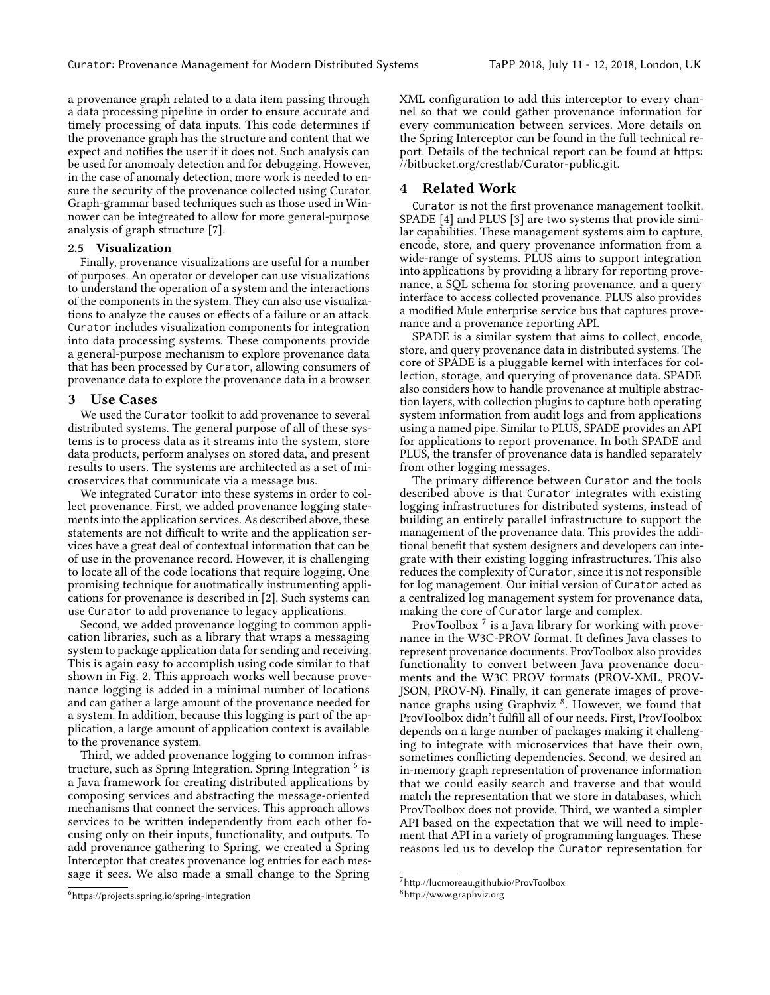a provenance graph related to a data item passing through a data processing pipeline in order to ensure accurate and timely processing of data inputs. This code determines if the provenance graph has the structure and content that we expect and notifies the user if it does not. Such analysis can be used for anomoaly detection and for debugging. However, in the case of anomaly detection, more work is needed to ensure the security of the provenance collected using Curator. Graph-grammar based techniques such as those used in Winnower can be integreated to allow for more general-purpose analysis of graph structure [\[7\]](#page-3-7).

# 2.5 Visualization

Finally, provenance visualizations are useful for a number of purposes. An operator or developer can use visualizations to understand the operation of a system and the interactions of the components in the system. They can also use visualizations to analyze the causes or effects of a failure or an attack. Curator includes visualization components for integration into data processing systems. These components provide a general-purpose mechanism to explore provenance data that has been processed by Curator, allowing consumers of provenance data to explore the provenance data in a browser.

# 3 Use Cases

We used the Curator toolkit to add provenance to several distributed systems. The general purpose of all of these systems is to process data as it streams into the system, store data products, perform analyses on stored data, and present results to users. The systems are architected as a set of microservices that communicate via a message bus.

We integrated Curator into these systems in order to collect provenance. First, we added provenance logging statements into the application services. As described above, these statements are not difficult to write and the application services have a great deal of contextual information that can be of use in the provenance record. However, it is challenging to locate all of the code locations that require logging. One promising technique for auotmatically instrumenting applications for provenance is described in [\[2\]](#page-3-8). Such systems can use Curator to add provenance to legacy applications.

Second, we added provenance logging to common application libraries, such as a library that wraps a messaging system to package application data for sending and receiving. This is again easy to accomplish using code similar to that shown in Fig. [2.](#page-1-1) This approach works well because provenance logging is added in a minimal number of locations and can gather a large amount of the provenance needed for a system. In addition, because this logging is part of the application, a large amount of application context is available to the provenance system.

Third, we added provenance logging to common infrastructure, such as Spring Integration. Spring Integration  $^6$  $^6$  is a Java framework for creating distributed applications by composing services and abstracting the message-oriented mechanisms that connect the services. This approach allows services to be written independently from each other focusing only on their inputs, functionality, and outputs. To add provenance gathering to Spring, we created a Spring Interceptor that creates provenance log entries for each message it sees. We also made a small change to the Spring

XML configuration to add this interceptor to every channel so that we could gather provenance information for every communication between services. More details on the Spring Interceptor can be found in the full technical report. Details of the technical report can be found at [https:](https://bitbucket.org/crestlab/Curator-public.git) [//bitbucket.org/crestlab/Curator-public.git](https://bitbucket.org/crestlab/Curator-public.git).

# 4 Related Work

Curator is not the first provenance management toolkit. SPADE [\[4\]](#page-3-9) and PLUS [\[3\]](#page-3-10) are two systems that provide similar capabilities. These management systems aim to capture, encode, store, and query provenance information from a wide-range of systems. PLUS aims to support integration into applications by providing a library for reporting provenance, a SQL schema for storing provenance, and a query interface to access collected provenance. PLUS also provides a modified Mule enterprise service bus that captures provenance and a provenance reporting API.

SPADE is a similar system that aims to collect, encode, store, and query provenance data in distributed systems. The core of SPADE is a pluggable kernel with interfaces for collection, storage, and querying of provenance data. SPADE also considers how to handle provenance at multiple abstraction layers, with collection plugins to capture both operating system information from audit logs and from applications using a named pipe. Similar to PLUS, SPADE provides an API for applications to report provenance. In both SPADE and PLUS, the transfer of provenance data is handled separately from other logging messages.

The primary difference between Curator and the tools described above is that Curator integrates with existing logging infrastructures for distributed systems, instead of building an entirely parallel infrastructure to support the management of the provenance data. This provides the additional benefit that system designers and developers can integrate with their existing logging infrastructures. This also reduces the complexity of Curator, since it is not responsible for log management. Our initial version of Curator acted as a centralized log management system for provenance data, making the core of Curator large and complex.

ProvToolbox  $^7$  $^7$  is a Java library for working with provenance in the W3C-PROV format. It defines Java classes to represent provenance documents. ProvToolbox also provides functionality to convert between Java provenance documents and the W3C PROV formats (PROV-XML, PROV-JSON, PROV-N). Finally, it can generate images of prove-nance graphs using Graphviz<sup>[8](#page-0-0)</sup>. However, we found that ProvToolbox didn't fulfill all of our needs. First, ProvToolbox depends on a large number of packages making it challenging to integrate with microservices that have their own, sometimes conflicting dependencies. Second, we desired an in-memory graph representation of provenance information that we could easily search and traverse and that would match the representation that we store in databases, which ProvToolbox does not provide. Third, we wanted a simpler API based on the expectation that we will need to implement that API in a variety of programming languages. These reasons led us to develop the Curator representation for

<sup>6</sup><https://projects.spring.io/spring-integration>

<sup>7</sup><http://lucmoreau.github.io/ProvToolbox>

<sup>8</sup><http://www.graphviz.org>